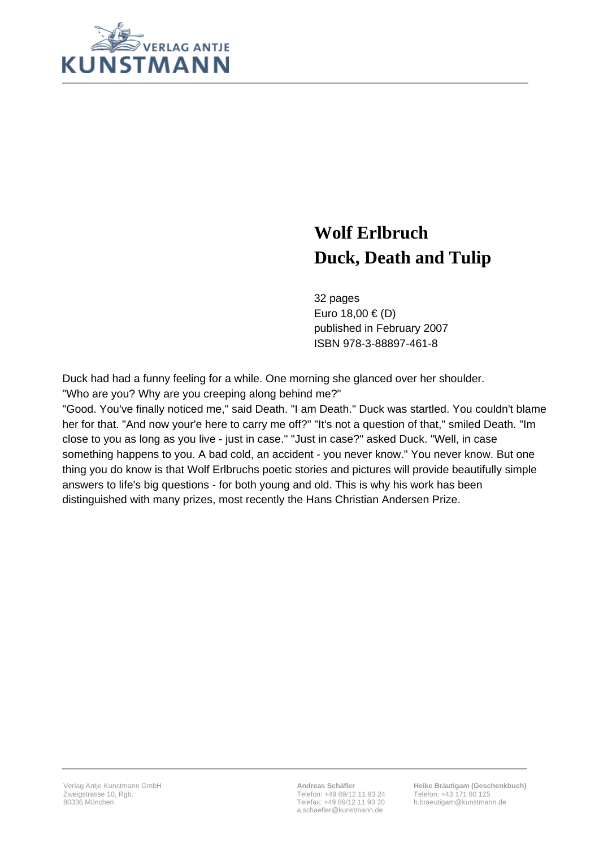

## **Wolf Erlbruch Duck, Death and Tulip**

32 pages Euro 18,00 € (D) published in February 2007 ISBN 978-3-88897-461-8

Duck had had a funny feeling for a while. One morning she glanced over her shoulder. "Who are you? Why are you creeping along behind me?"

"Good. You've finally noticed me," said Death. "I am Death." Duck was startled. You couldn't blame her for that. "And now your'e here to carry me off?" "It's not a question of that," smiled Death. "Im close to you as long as you live - just in case." "Just in case?" asked Duck. "Well, in case something happens to you. A bad cold, an accident - you never know." You never know. But one thing you do know is that Wolf Erlbruchs poetic stories and pictures will provide beautifully simple answers to life's big questions - for both young and old. This is why his work has been distinguished with many prizes, most recently the Hans Christian Andersen Prize.